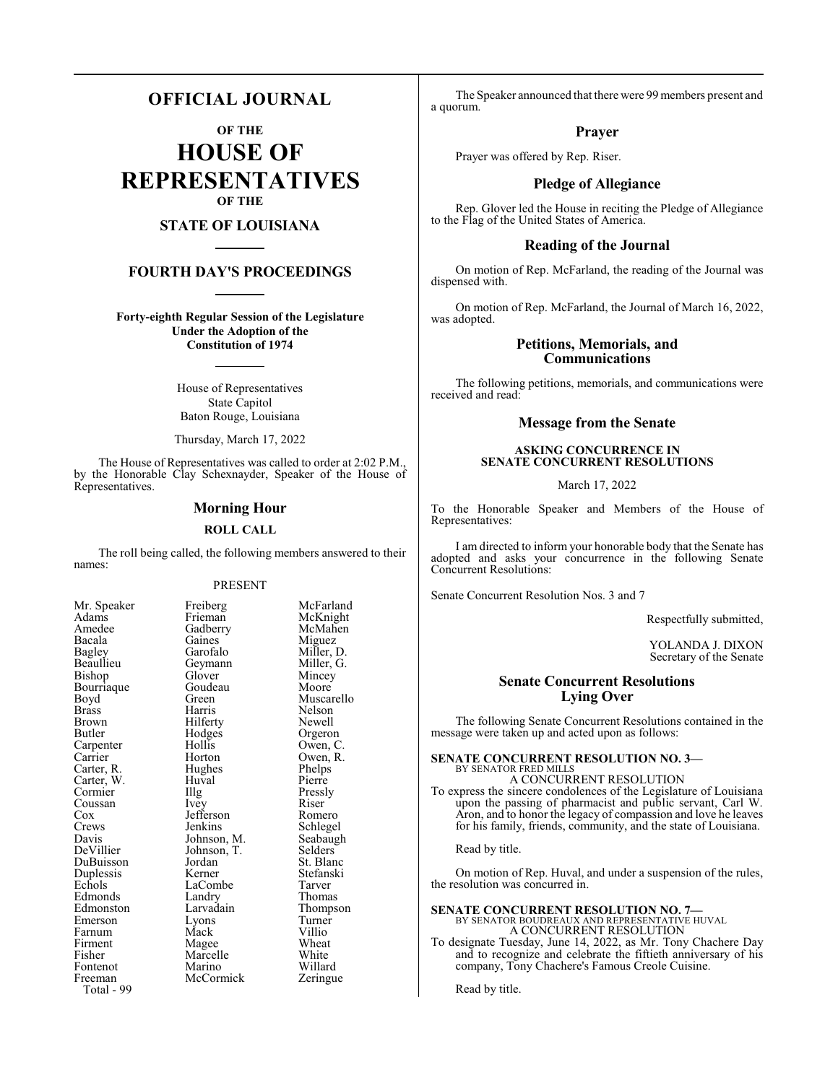## **OFFICIAL JOURNAL**

**OF THE**

**HOUSE OF REPRESENTATIVES OF THE**

## **STATE OF LOUISIANA**

## **FOURTH DAY'S PROCEEDINGS**

**Forty-eighth Regular Session of the Legislature Under the Adoption of the Constitution of 1974**

> House of Representatives State Capitol Baton Rouge, Louisiana

Thursday, March 17, 2022

The House of Representatives was called to order at 2:02 P.M., by the Honorable Clay Schexnayder, Speaker of the House of Representatives.

## **Morning Hour**

#### **ROLL CALL**

The roll being called, the following members answered to their names:

## PRESENT

| Mr. Speaker | Freiberg    | McFar   |
|-------------|-------------|---------|
| Adams       | Frieman     | McKn:   |
| Amedee      | Gadberry    | McMa    |
| Bacala      | Gaines      | Migue   |
| Bagley      | Garofalo    | Miller, |
| Beaullieu   | Geymann     | Miller, |
| Bishop      | Glover      | Mince   |
| Bourriaque  | Goudeau     | Moore   |
| Boyd        | Green       | Musca   |
| Brass       | Harris      | Nelsor  |
| Brown       | Hilferty    | Newel   |
| Butler      | Hodges      | Orgerc  |
| Carpenter   | Hollis      | Owen,   |
| Carrier     | Horton      | Owen,   |
| Carter, R.  | Hughes      | Phelps  |
| Carter, W.  | Huval       | Pierre  |
| Cormier     | Illg        | Pressly |
| Coussan     | Ivey        | Riser   |
| Cox         | Jefferson   | Romer   |
| Crews       | Jenkins     | Schleg  |
| Davis       | Johnson, M. | Seabaı  |
| DeVillier   | Johnson, T. | Selder: |
| DuBuisson   | Jordan      | St. Bla |
| Duplessis   | Kerner      | Stefan: |
| Echols      | LaCombe     | Tarver  |
| Edmonds     | Landry      | Thoma   |
| Edmonston   | Larvadain   | Thomp   |
| Emerson     | Lyons       | Turner  |
| Farnum      | Mack        | Villio  |
| Firment     | Magee       | Wheat   |
| Fisher      | Marcelle    | White   |
| Fontenot    | Marino      | Willar  |
| Freeman     | McCormick   | Zering  |
| Total - 99  |             |         |
|             |             |         |

McFarland McKnight McMahen Miguez Miller, D. Miller, G. Mincey<br>Moore Muscarello Nelson Newell Orgeron Owen, C. Owen, R. Phelps Pierre Pressly<br>Riser Romero Schlegel Seabaugh Selders St. Blanc Stefanski Tarver Thomas Thompson Turner<br>Villio Wheat<br>White Willard Zeringue

The Speaker announced that there were 99 members present and a quorum.

## **Prayer**

Prayer was offered by Rep. Riser.

## **Pledge of Allegiance**

Rep. Glover led the House in reciting the Pledge of Allegiance to the Flag of the United States of America.

## **Reading of the Journal**

On motion of Rep. McFarland, the reading of the Journal was dispensed with.

On motion of Rep. McFarland, the Journal of March 16, 2022, was adopted.

## **Petitions, Memorials, and Communications**

The following petitions, memorials, and communications were received and read:

## **Message from the Senate**

## **ASKING CONCURRENCE IN SENATE CONCURRENT RESOLUTIONS**

March 17, 2022

To the Honorable Speaker and Members of the House of Representatives:

I am directed to inform your honorable body that the Senate has adopted and asks your concurrence in the following Senate Concurrent Resolutions:

Senate Concurrent Resolution Nos. 3 and 7

Respectfully submitted,

YOLANDA J. DIXON Secretary of the Senate

## **Senate Concurrent Resolutions Lying Over**

The following Senate Concurrent Resolutions contained in the message were taken up and acted upon as follows:

# **SENATE CONCURRENT RESOLUTION NO. 3—** BY SENATOR FRED MILLS

A CONCURRENT RESOLUTION To express the sincere condolences of the Legislature of Louisiana upon the passing of pharmacist and public servant, Carl W. Aron, and to honor the legacy of compassion and love he leaves for his family, friends, community, and the state of Louisiana.

Read by title.

On motion of Rep. Huval, and under a suspension of the rules, the resolution was concurred in.

# **SENATE CONCURRENT RESOLUTION NO. 7—**<br>BY SENATOR BOUDREAUX AND REPRESENTATIVE HUVAL

A CONCURRENT RESOLUTION To designate Tuesday, June 14, 2022, as Mr. Tony Chachere Day and to recognize and celebrate the fiftieth anniversary of his company, Tony Chachere's Famous Creole Cuisine.

Read by title.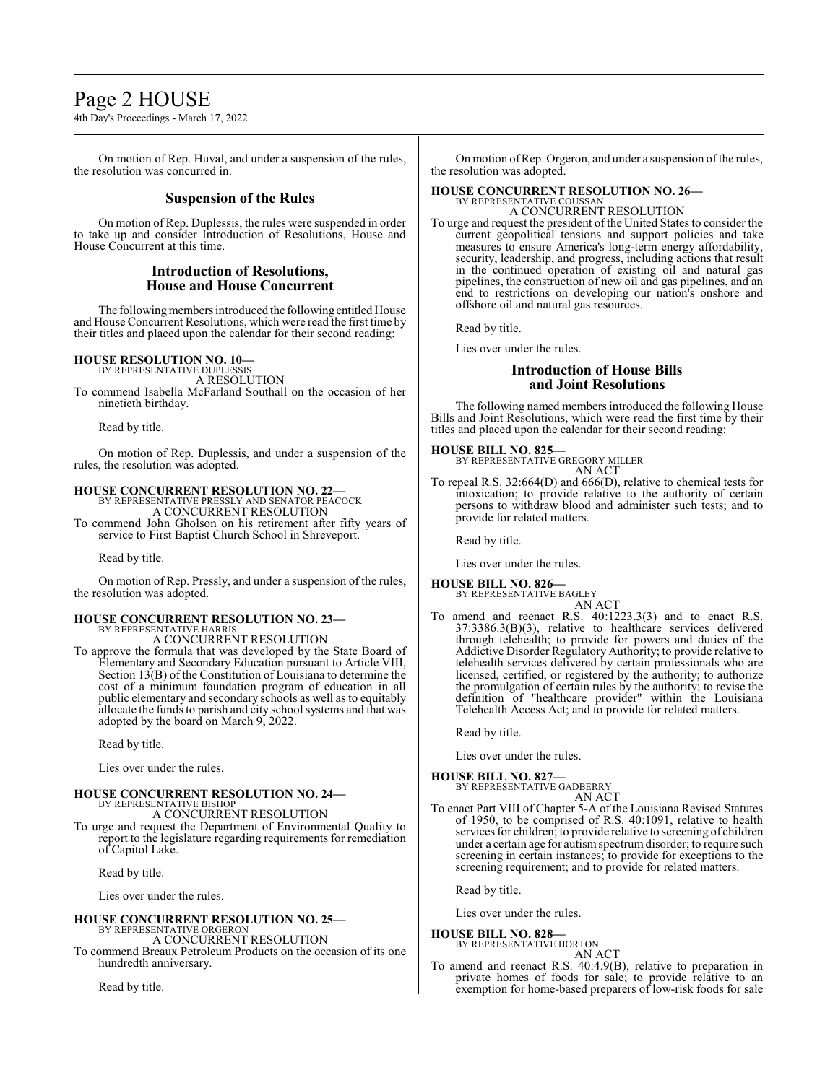# Page 2 HOUSE

4th Day's Proceedings - March 17, 2022

On motion of Rep. Huval, and under a suspension of the rules, the resolution was concurred in.

## **Suspension of the Rules**

On motion of Rep. Duplessis, the rules were suspended in order to take up and consider Introduction of Resolutions, House and House Concurrent at this time.

## **Introduction of Resolutions, House and House Concurrent**

The following members introduced the following entitled House and House Concurrent Resolutions, which were read the first time by their titles and placed upon the calendar for their second reading:

## **HOUSE RESOLUTION NO. 10—**

BY REPRESENTATIVE DUPLESSIS A RESOLUTION

To commend Isabella McFarland Southall on the occasion of her ninetieth birthday.

Read by title.

On motion of Rep. Duplessis, and under a suspension of the rules, the resolution was adopted.

#### **HOUSE CONCURRENT RESOLUTION NO. 22—** BY REPRESENTATIVE PRESSLY AND SENATOR PEACOCK A CONCURRENT RESOLUTION

To commend John Gholson on his retirement after fifty years of service to First Baptist Church School in Shreveport.

Read by title.

On motion of Rep. Pressly, and under a suspension of the rules, the resolution was adopted.

#### **HOUSE CONCURRENT RESOLUTION NO. 23—** BY REPRESENTATIVE HARRIS

A CONCURRENT RESOLUTION

To approve the formula that was developed by the State Board of Elementary and Secondary Education pursuant to Article VIII, Section 13(B) of the Constitution of Louisiana to determine the cost of a minimum foundation program of education in all public elementary and secondary schools as well as to equitably allocate the funds to parish and city school systems and that was adopted by the board on March 9, 2022.

Read by title.

Lies over under the rules.

#### **HOUSE CONCURRENT RESOLUTION NO. 24—** BY REPRESENTATIVE BISHOP

A CONCURRENT RESOLUTION

To urge and request the Department of Environmental Quality to report to the legislature regarding requirements for remediation of Capitol Lake.

Read by title.

Lies over under the rules.

## **HOUSE CONCURRENT RESOLUTION NO. 25—** BY REPRESENTATIVE ORGERON A CONCURRENT RESOLUTION

To commend Breaux Petroleum Products on the occasion of its one hundredth anniversary.

Read by title.

On motion of Rep. Orgeron, and under a suspension of the rules, the resolution was adopted.

## **HOUSE CONCURRENT RESOLUTION NO. 26—** BY REPRESENTATIVE COUSS

A CONCURRENT RESOLUTION To urge and request the president of the United States to consider the current geopolitical tensions and support policies and take measures to ensure America's long-term energy affordability, security, leadership, and progress, including actions that result in the continued operation of existing oil and natural gas pipelines, the construction of new oil and gas pipelines, and an end to restrictions on developing our nation's onshore and offshore oil and natural gas resources.

Read by title.

Lies over under the rules.

## **Introduction of House Bills and Joint Resolutions**

The following named members introduced the following House Bills and Joint Resolutions, which were read the first time by their titles and placed upon the calendar for their second reading:

**HOUSE BILL NO. 825—**

BY REPRESENTATIVE GREGORY MILLER AN ACT

To repeal R.S. 32:664(D) and 666(D), relative to chemical tests for intoxication; to provide relative to the authority of certain persons to withdraw blood and administer such tests; and to provide for related matters.

Read by title.

Lies over under the rules.

#### **HOUSE BILL NO. 826—** BY REPRESENTATIVE BAGLEY

- AN ACT
- To amend and reenact R.S. 40:1223.3(3) and to enact R.S. 37:3386.3(B)(3), relative to healthcare services delivered through telehealth; to provide for powers and duties of the Addictive Disorder Regulatory Authority; to provide relative to telehealth services delivered by certain professionals who are licensed, certified, or registered by the authority; to authorize the promulgation of certain rules by the authority; to revise the definition of "healthcare provider" within the Louisiana Telehealth Access Act; and to provide for related matters.

Read by title.

Lies over under the rules.

## **HOUSE BILL NO. 827—**

BY REPRESENTATIVE GADBERRY AN ACT

To enact Part VIII of Chapter 5-A of the Louisiana Revised Statutes of 1950, to be comprised of R.S. 40:1091, relative to health services for children; to provide relative to screening of children under a certain age for autismspectrumdisorder; to require such screening in certain instances; to provide for exceptions to the screening requirement; and to provide for related matters.

Read by title.

Lies over under the rules.

## **HOUSE BILL NO. 828—**

BY REPRESENTATIVE HORTON AN ACT

To amend and reenact R.S. 40:4.9(B), relative to preparation in private homes of foods for sale; to provide relative to an exemption for home-based preparers of low-risk foods for sale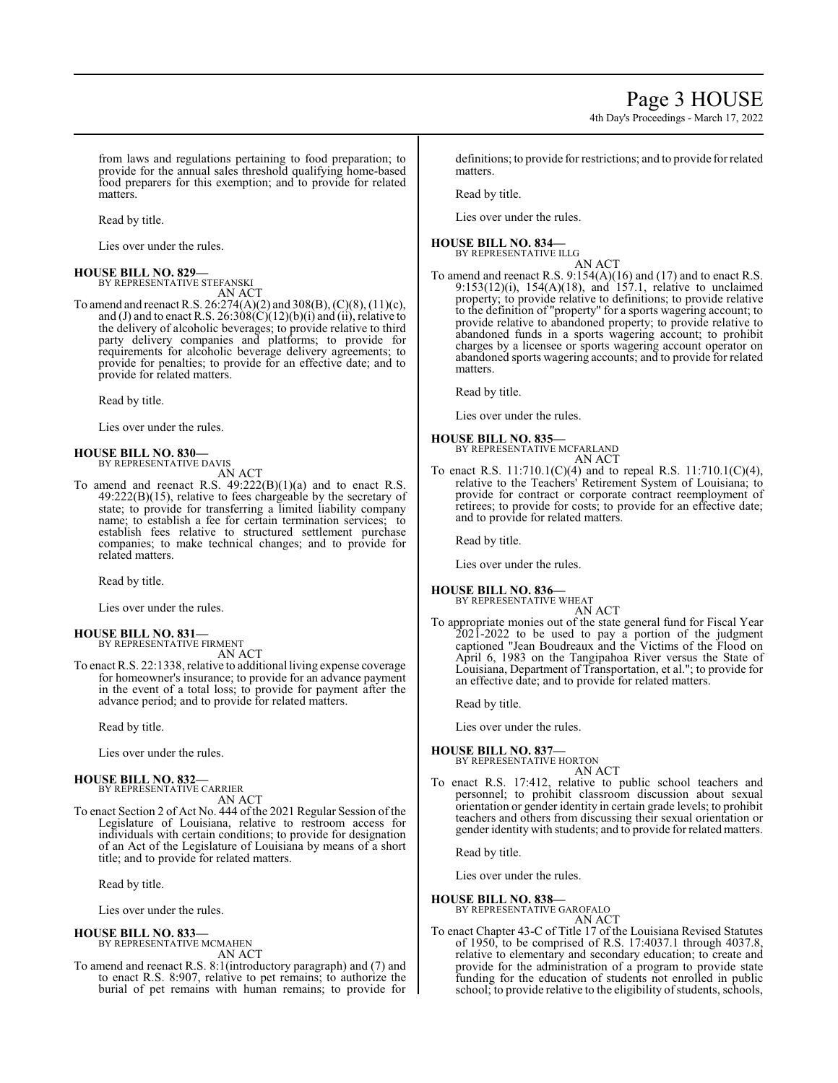4th Day's Proceedings - March 17, 2022

from laws and regulations pertaining to food preparation; to provide for the annual sales threshold qualifying home-based food preparers for this exemption; and to provide for related matters.

Read by title.

Lies over under the rules.

#### **HOUSE BILL NO. 829—** BY REPRESENTATIVE STEFANSKI

AN ACT

To amend and reenact R.S. 26:274(A)(2) and 308(B), (C)(8), (11)(c), and (J) and to enact R.S. 26:308 $\rm (\tilde{C})(12)$ (b)(i) and (ii), relative to the delivery of alcoholic beverages; to provide relative to third party delivery companies and platforms; to provide for requirements for alcoholic beverage delivery agreements; to provide for penalties; to provide for an effective date; and to provide for related matters.

Read by title.

Lies over under the rules.

#### **HOUSE BILL NO. 830—** BY REPRESENTATIVE DAVIS

AN ACT

To amend and reenact R.S.  $49:222(B)(1)(a)$  and to enact R.S. 49:222(B)(15), relative to fees chargeable by the secretary of state; to provide for transferring a limited liability company name; to establish a fee for certain termination services; to establish fees relative to structured settlement purchase companies; to make technical changes; and to provide for related matters.

Read by title.

Lies over under the rules.

#### **HOUSE BILL NO. 831—** BY REPRESENTATIVE FIRMENT

AN ACT

To enact R.S. 22:1338, relative to additional living expense coverage for homeowner's insurance; to provide for an advance payment in the event of a total loss; to provide for payment after the advance period; and to provide for related matters.

Read by title.

Lies over under the rules.

#### **HOUSE BILL NO. 832—** BY REPRESENTATIVE CARRIER

AN ACT

To enact Section 2 of Act No. 444 of the 2021 Regular Session of the Legislature of Louisiana, relative to restroom access for individuals with certain conditions; to provide for designation of an Act of the Legislature of Louisiana by means of a short title; and to provide for related matters.

Read by title.

Lies over under the rules.

## **HOUSE BILL NO. 833—**

BY REPRESENTATIVE MCMAHEN AN ACT

To amend and reenact R.S. 8:1(introductory paragraph) and (7) and to enact R.S. 8:907, relative to pet remains; to authorize the burial of pet remains with human remains; to provide for definitions; to provide for restrictions; and to provide for related matters.

Read by title.

Lies over under the rules.

## **HOUSE BILL NO. 834—**

BY REPRESENTATIVE ILLG AN ACT

To amend and reenact R.S. 9:154(A)(16) and (17) and to enact R.S. 9:153(12)(i), 154(A)(18), and 157.1, relative to unclaimed property; to provide relative to definitions; to provide relative to the definition of "property" for a sports wagering account; to provide relative to abandoned property; to provide relative to abandoned funds in a sports wagering account; to prohibit charges by a licensee or sports wagering account operator on abandoned sports wagering accounts; and to provide for related matters.

Read by title.

Lies over under the rules.

## **HOUSE BILL NO. 835—**

BY REPRESENTATIVE MCFARLAND AN ACT

To enact R.S. 11:710.1(C)(4) and to repeal R.S. 11:710.1(C)(4), relative to the Teachers' Retirement System of Louisiana; to provide for contract or corporate contract reemployment of retirees; to provide for costs; to provide for an effective date; and to provide for related matters.

Read by title.

Lies over under the rules.

## **HOUSE BILL NO. 836—**

BY REPRESENTATIVE WHEAT

AN ACT To appropriate monies out of the state general fund for Fiscal Year 2021-2022 to be used to pay a portion of the judgment captioned "Jean Boudreaux and the Victims of the Flood on April 6, 1983 on the Tangipahoa River versus the State of Louisiana, Department of Transportation, et al."; to provide for an effective date; and to provide for related matters.

Read by title.

Lies over under the rules.

## **HOUSE BILL NO. 837—**

BY REPRESENTATIVE HORTON AN ACT

To enact R.S. 17:412, relative to public school teachers and personnel; to prohibit classroom discussion about sexual orientation or gender identity in certain grade levels; to prohibit teachers and others from discussing their sexual orientation or gender identity with students; and to provide for related matters.

Read by title.

Lies over under the rules.

## **HOUSE BILL NO. 838—**

BY REPRESENTATIVE GAROFALO AN ACT

To enact Chapter 43-C of Title 17 of the Louisiana Revised Statutes of 1950, to be comprised of R.S. 17:4037.1 through 4037.8, relative to elementary and secondary education; to create and provide for the administration of a program to provide state funding for the education of students not enrolled in public school; to provide relative to the eligibility of students, schools,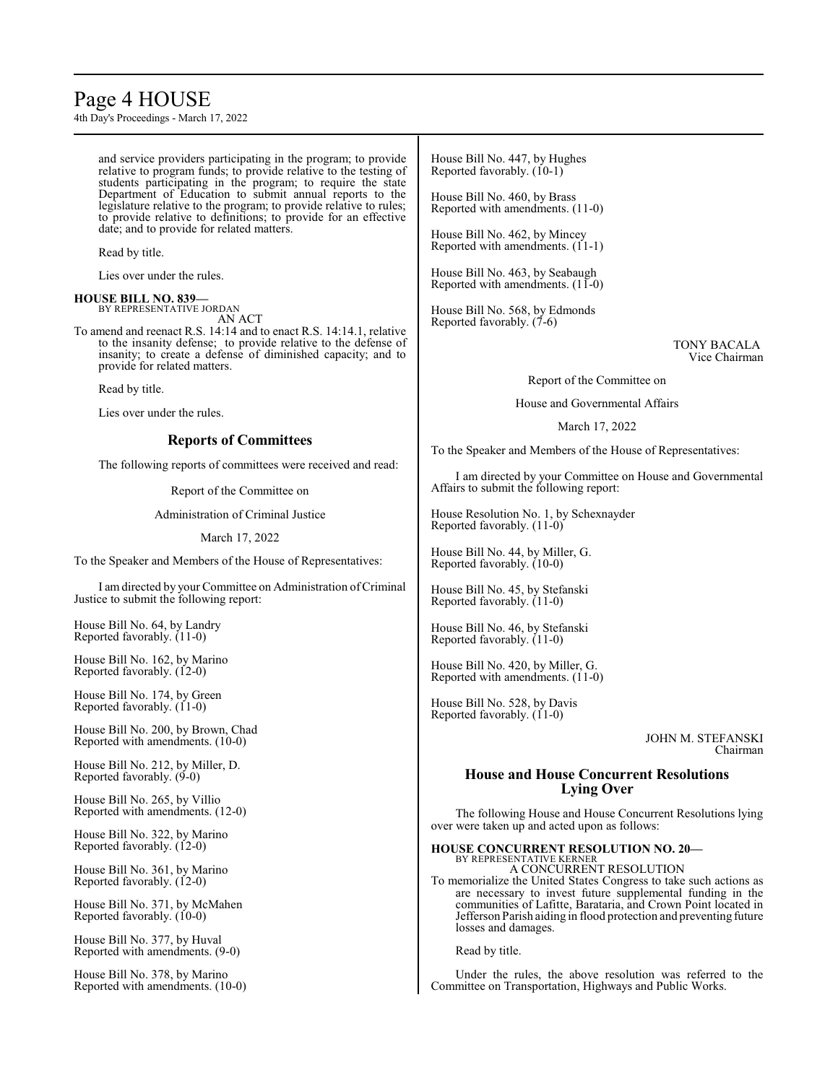# Page 4 HOUSE

4th Day's Proceedings - March 17, 2022

and service providers participating in the program; to provide relative to program funds; to provide relative to the testing of students participating in the program; to require the state Department of Education to submit annual reports to the legislature relative to the program; to provide relative to rules; to provide relative to definitions; to provide for an effective date; and to provide for related matters.

Read by title.

Lies over under the rules.

#### **HOUSE BILL NO. 839—** BY REPRESENTATIVE JORDAN

AN ACT

To amend and reenact R.S. 14:14 and to enact R.S. 14:14.1, relative to the insanity defense; to provide relative to the defense of insanity; to create a defense of diminished capacity; and to provide for related matters.

Read by title.

Lies over under the rules.

## **Reports of Committees**

The following reports of committees were received and read:

Report of the Committee on

Administration of Criminal Justice

March 17, 2022

To the Speaker and Members of the House of Representatives:

I amdirected by your Committee on Administration ofCriminal Justice to submit the following report:

House Bill No. 64, by Landry Reported favorably. (11-0)

House Bill No. 162, by Marino Reported favorably. (12-0)

House Bill No. 174, by Green Reported favorably.  $(11-0)$ 

House Bill No. 200, by Brown, Chad Reported with amendments. (10-0)

House Bill No. 212, by Miller, D. Reported favorably.  $(9-0)$ 

House Bill No. 265, by Villio Reported with amendments. (12-0)

House Bill No. 322, by Marino Reported favorably. (12-0)

House Bill No. 361, by Marino Reported favorably. (12-0)

House Bill No. 371, by McMahen Reported favorably.  $(10-0)$ 

House Bill No. 377, by Huval Reported with amendments. (9-0)

House Bill No. 378, by Marino Reported with amendments. (10-0) House Bill No. 447, by Hughes Reported favorably.  $(10-1)$ 

House Bill No. 460, by Brass Reported with amendments. (11-0)

House Bill No. 462, by Mincey Reported with amendments. (11-1)

House Bill No. 463, by Seabaugh Reported with amendments.  $(1\bar{1}-0)$ 

House Bill No. 568, by Edmonds Reported favorably. (7-6)

> TONY BACALA Vice Chairman

Report of the Committee on

House and Governmental Affairs

March 17, 2022

To the Speaker and Members of the House of Representatives:

I am directed by your Committee on House and Governmental Affairs to submit the following report:

House Resolution No. 1, by Schexnayder Reported favorably. (11-0)

House Bill No. 44, by Miller, G. Reported favorably. (10-0)

House Bill No. 45, by Stefanski Reported favorably. (11-0)

House Bill No. 46, by Stefanski Reported favorably. (11-0)

House Bill No. 420, by Miller, G. Reported with amendments. (11-0)

House Bill No. 528, by Davis Reported favorably.  $(11-0)$ 

> JOHN M. STEFANSKI Chairman

## **House and House Concurrent Resolutions Lying Over**

The following House and House Concurrent Resolutions lying over were taken up and acted upon as follows:

# **HOUSE CONCURRENT RESOLUTION NO. 20—** BY REPRESENTATIVE KERNER

A CONCURRENT RESOLUTION To memorialize the United States Congress to take such actions as are necessary to invest future supplemental funding in the communities of Lafitte, Barataria, and Crown Point located in Jefferson Parish aiding in flood protection and preventing future losses and damages.

Read by title.

Under the rules, the above resolution was referred to the Committee on Transportation, Highways and Public Works.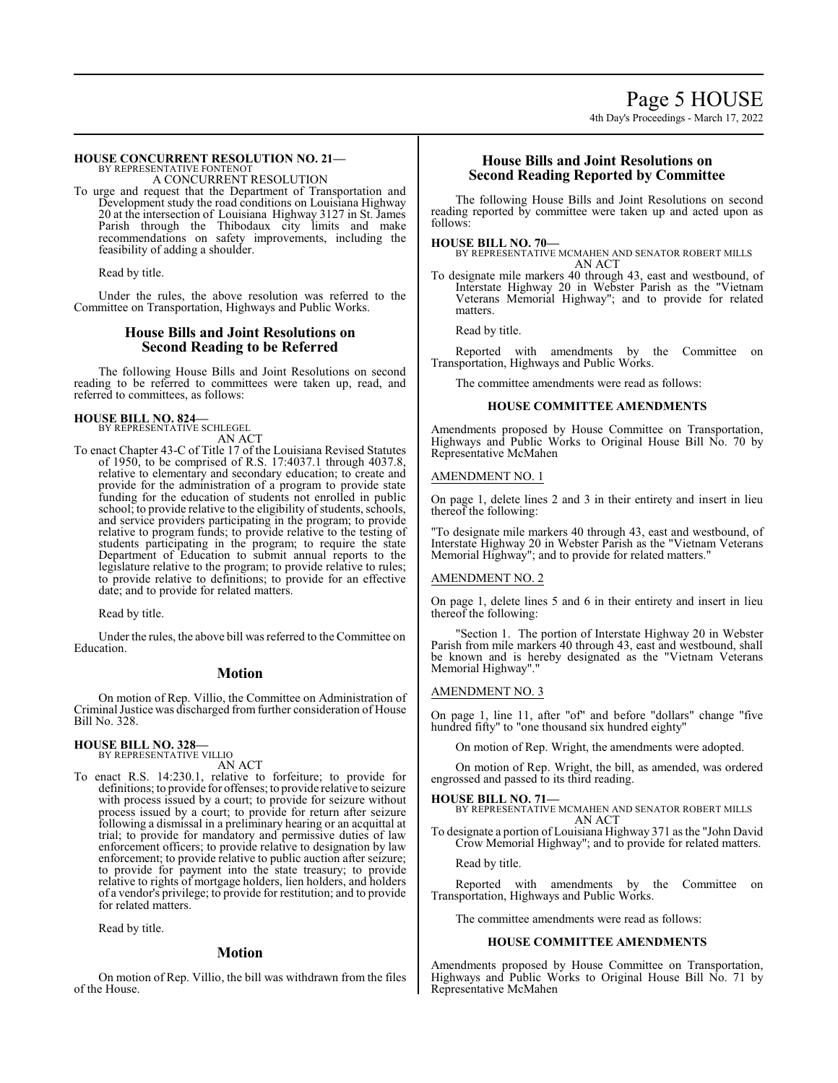#### **HOUSE CONCURRENT RESOLUTION NO. 21—** BY REPRESENTATIVE FONTENOT

A CONCURRENT RESOLUTION

To urge and request that the Department of Transportation and Development study the road conditions on Louisiana Highway 20 at the intersection of Louisiana Highway 3127 in St. James Parish through the Thibodaux city limits and make recommendations on safety improvements, including the feasibility of adding a shoulder.

Read by title.

Under the rules, the above resolution was referred to the Committee on Transportation, Highways and Public Works.

## **House Bills and Joint Resolutions on Second Reading to be Referred**

The following House Bills and Joint Resolutions on second reading to be referred to committees were taken up, read, and referred to committees, as follows:

#### **HOUSE BILL NO. 824—** BY REPRESENTATIVE SCHLEGEL

AN ACT

To enact Chapter 43-C of Title 17 of the Louisiana Revised Statutes of 1950, to be comprised of R.S. 17:4037.1 through 4037.8, relative to elementary and secondary education; to create and provide for the administration of a program to provide state funding for the education of students not enrolled in public school; to provide relative to the eligibility of students, schools, and service providers participating in the program; to provide relative to program funds; to provide relative to the testing of students participating in the program; to require the state Department of Education to submit annual reports to the legislature relative to the program; to provide relative to rules; to provide relative to definitions; to provide for an effective date; and to provide for related matters.

Read by title.

Under the rules, the above bill was referred to the Committee on Education.

## **Motion**

On motion of Rep. Villio, the Committee on Administration of Criminal Justice was discharged fromfurther consideration of House Bill No. 328.

#### **HOUSE BILL NO. 328—** BY REPRESENTATIVE VILLIO

AN ACT

To enact R.S. 14:230.1, relative to forfeiture; to provide for definitions; to provide for offenses; to provide relative to seizure with process issued by a court; to provide for seizure without process issued by a court; to provide for return after seizure following a dismissal in a preliminary hearing or an acquittal at trial; to provide for mandatory and permissive duties of law enforcement officers; to provide relative to designation by law enforcement; to provide relative to public auction after seizure; to provide for payment into the state treasury; to provide relative to rights of mortgage holders, lien holders, and holders of a vendor's privilege; to provide for restitution; and to provide for related matters.

Read by title.

## **Motion**

On motion of Rep. Villio, the bill was withdrawn from the files of the House.

## **House Bills and Joint Resolutions on Second Reading Reported by Committee**

The following House Bills and Joint Resolutions on second reading reported by committee were taken up and acted upon as follows:

**HOUSE BILL NO. 70—** BY REPRESENTATIVE MCMAHEN AND SENATOR ROBERT MILLS AN ACT

To designate mile markers 40 through 43, east and westbound, of Interstate Highway 20 in Webster Parish as the "Vietnam Veterans Memorial Highway"; and to provide for related matters.

Read by title.

Reported with amendments by the Committee on Transportation, Highways and Public Works.

The committee amendments were read as follows:

## **HOUSE COMMITTEE AMENDMENTS**

Amendments proposed by House Committee on Transportation, Highways and Public Works to Original House Bill No. 70 by Representative McMahen

## AMENDMENT NO. 1

On page 1, delete lines 2 and 3 in their entirety and insert in lieu thereof the following:

"To designate mile markers 40 through 43, east and westbound, of Interstate Highway 20 in Webster Parish as the "Vietnam Veterans Memorial Highway"; and to provide for related matters."

## AMENDMENT NO. 2

On page 1, delete lines 5 and 6 in their entirety and insert in lieu thereof the following:

Section 1. The portion of Interstate Highway 20 in Webster Parish from mile markers 40 through 43, east and westbound, shall be known and is hereby designated as the "Vietnam Veterans Memorial Highway"."

## AMENDMENT NO. 3

On page 1, line 11, after "of" and before "dollars" change "five hundred fifty" to "one thousand six hundred eighty"

On motion of Rep. Wright, the amendments were adopted.

On motion of Rep. Wright, the bill, as amended, was ordered engrossed and passed to its third reading.

## **HOUSE BILL NO. 71—**

BY REPRESENTATIVE MCMAHEN AND SENATOR ROBERT MILLS AN ACT

To designate a portion of Louisiana Highway 371 as the "John David Crow Memorial Highway"; and to provide for related matters.

Read by title.

Reported with amendments by the Committee on Transportation, Highways and Public Works.

The committee amendments were read as follows:

## **HOUSE COMMITTEE AMENDMENTS**

Amendments proposed by House Committee on Transportation, Highways and Public Works to Original House Bill No. 71 by Representative McMahen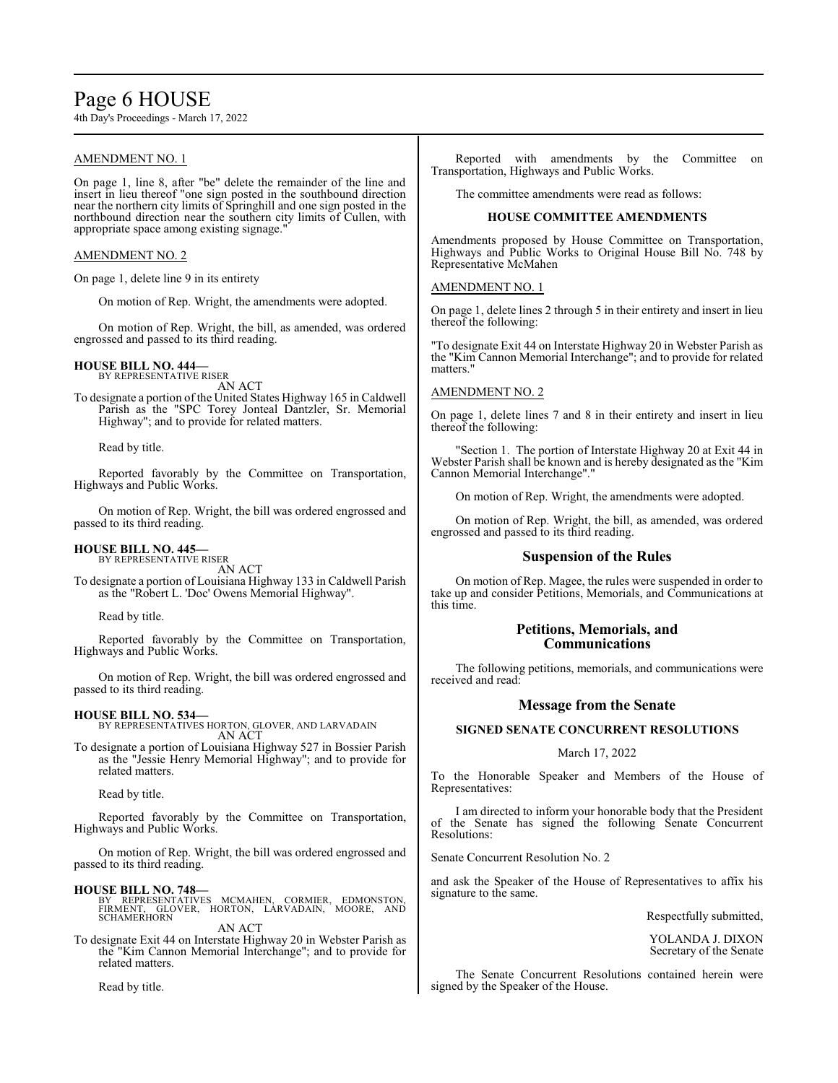# Page 6 HOUSE

4th Day's Proceedings - March 17, 2022

## AMENDMENT NO. 1

On page 1, line 8, after "be" delete the remainder of the line and insert in lieu thereof "one sign posted in the southbound direction near the northern city limits of Springhill and one sign posted in the northbound direction near the southern city limits of Cullen, with appropriate space among existing signage."

## AMENDMENT NO. 2

On page 1, delete line 9 in its entirety

On motion of Rep. Wright, the amendments were adopted.

On motion of Rep. Wright, the bill, as amended, was ordered engrossed and passed to its third reading.

# **HOUSE BILL NO. 444—** BY REPRESENTATIVE RISER

AN ACT

To designate a portion of the United States Highway 165 in Caldwell Parish as the "SPC Torey Jonteal Dantzler, Sr. Memorial Highway"; and to provide for related matters.

Read by title.

Reported favorably by the Committee on Transportation, Highways and Public Works.

On motion of Rep. Wright, the bill was ordered engrossed and passed to its third reading.

## **HOUSE BILL NO. 445—**

BY REPRESENTATIVE RISER AN ACT

To designate a portion of Louisiana Highway 133 in Caldwell Parish as the "Robert L. 'Doc' Owens Memorial Highway".

Read by title.

Reported favorably by the Committee on Transportation, Highways and Public Works.

On motion of Rep. Wright, the bill was ordered engrossed and passed to its third reading.

## **HOUSE BILL NO. 534—**

BY REPRESENTATIVES HORTON, GLOVER, AND LARVADAIN AN ACT

To designate a portion of Louisiana Highway 527 in Bossier Parish as the "Jessie Henry Memorial Highway"; and to provide for related matters.

Read by title.

Reported favorably by the Committee on Transportation, Highways and Public Works.

On motion of Rep. Wright, the bill was ordered engrossed and passed to its third reading.

**HOUSE BILL NO. 748—**<br>BY REPRESENTATIVES MCMAHEN, CORMIER, EDMONSTON,<br>FIRMENT, GLOVER, HORTON, LARVADAIN, MOORE, AND<br>SCHAMERHORN

AN ACT

To designate Exit 44 on Interstate Highway 20 in Webster Parish as the "Kim Cannon Memorial Interchange"; and to provide for related matters.

Read by title.

Reported with amendments by the Committee on Transportation, Highways and Public Works.

The committee amendments were read as follows:

## **HOUSE COMMITTEE AMENDMENTS**

Amendments proposed by House Committee on Transportation, Highways and Public Works to Original House Bill No. 748 by Representative McMahen

## AMENDMENT NO. 1

On page 1, delete lines 2 through 5 in their entirety and insert in lieu thereof the following:

"To designate Exit 44 on Interstate Highway 20 in Webster Parish as the "Kim Cannon Memorial Interchange"; and to provide for related matters."

## AMENDMENT NO. 2

On page 1, delete lines 7 and 8 in their entirety and insert in lieu thereof the following:

"Section 1. The portion of Interstate Highway 20 at Exit 44 in Webster Parish shall be known and is hereby designated as the "Kim Cannon Memorial Interchange"."

On motion of Rep. Wright, the amendments were adopted.

On motion of Rep. Wright, the bill, as amended, was ordered engrossed and passed to its third reading.

## **Suspension of the Rules**

On motion of Rep. Magee, the rules were suspended in order to take up and consider Petitions, Memorials, and Communications at this time.

## **Petitions, Memorials, and Communications**

The following petitions, memorials, and communications were received and read:

## **Message from the Senate**

## **SIGNED SENATE CONCURRENT RESOLUTIONS**

## March 17, 2022

To the Honorable Speaker and Members of the House of Representatives:

I am directed to inform your honorable body that the President of the Senate has signed the following Senate Concurrent Resolutions:

Senate Concurrent Resolution No. 2

and ask the Speaker of the House of Representatives to affix his signature to the same.

Respectfully submitted,

YOLANDA J. DIXON Secretary of the Senate

The Senate Concurrent Resolutions contained herein were signed by the Speaker of the House.